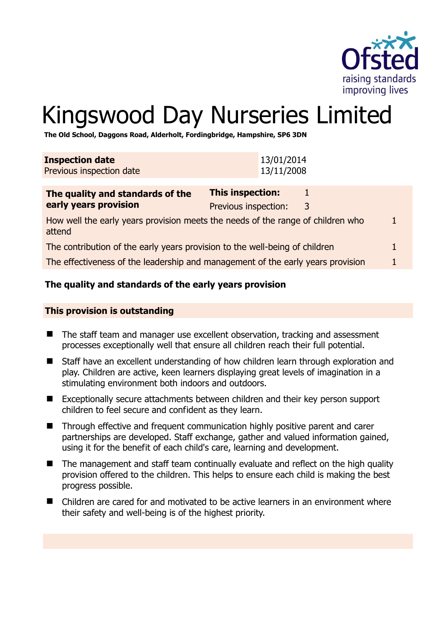

# Kingswood Day Nurseries Limited

**The Old School, Daggons Road, Alderholt, Fordingbridge, Hampshire, SP6 3DN** 

| <b>Inspection date</b>   | 13/01/2014 |
|--------------------------|------------|
| Previous inspection date | 13/11/2008 |
|                          |            |

| The quality and standards of the                                                          | This inspection:     |   |  |
|-------------------------------------------------------------------------------------------|----------------------|---|--|
| early years provision                                                                     | Previous inspection: | 3 |  |
| How well the early years provision meets the needs of the range of children who<br>attend |                      |   |  |
| The contribution of the early years provision to the well-being of children               |                      |   |  |
| The effectiveness of the leadership and management of the early years provision           |                      |   |  |

# **The quality and standards of the early years provision**

## **This provision is outstanding**

- The staff team and manager use excellent observation, tracking and assessment processes exceptionally well that ensure all children reach their full potential.
- Staff have an excellent understanding of how children learn through exploration and play. Children are active, keen learners displaying great levels of imagination in a stimulating environment both indoors and outdoors.
- Exceptionally secure attachments between children and their key person support children to feel secure and confident as they learn.
- Through effective and frequent communication highly positive parent and carer partnerships are developed. Staff exchange, gather and valued information gained, using it for the benefit of each child's care, learning and development.
- The management and staff team continually evaluate and reflect on the high quality provision offered to the children. This helps to ensure each child is making the best progress possible.
- Children are cared for and motivated to be active learners in an environment where their safety and well-being is of the highest priority.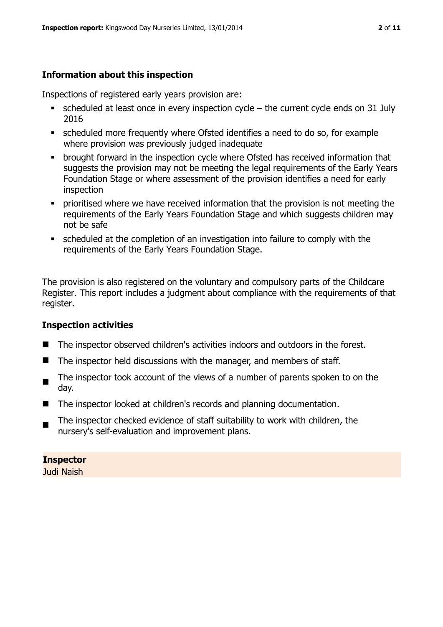# **Information about this inspection**

Inspections of registered early years provision are:

- scheduled at least once in every inspection cycle the current cycle ends on 31 July 2016
- scheduled more frequently where Ofsted identifies a need to do so, for example where provision was previously judged inadequate
- **•** brought forward in the inspection cycle where Ofsted has received information that suggests the provision may not be meeting the legal requirements of the Early Years Foundation Stage or where assessment of the provision identifies a need for early inspection
- **•** prioritised where we have received information that the provision is not meeting the requirements of the Early Years Foundation Stage and which suggests children may not be safe
- scheduled at the completion of an investigation into failure to comply with the requirements of the Early Years Foundation Stage.

The provision is also registered on the voluntary and compulsory parts of the Childcare Register. This report includes a judgment about compliance with the requirements of that register.

# **Inspection activities**

- The inspector observed children's activities indoors and outdoors in the forest.
- $\blacksquare$  The inspector held discussions with the manager, and members of staff.
- The inspector took account of the views of a number of parents spoken to on the day.
- The inspector looked at children's records and planning documentation.
- $\blacksquare$ The inspector checked evidence of staff suitability to work with children, the nursery's self-evaluation and improvement plans.

**Inspector**  Judi Naish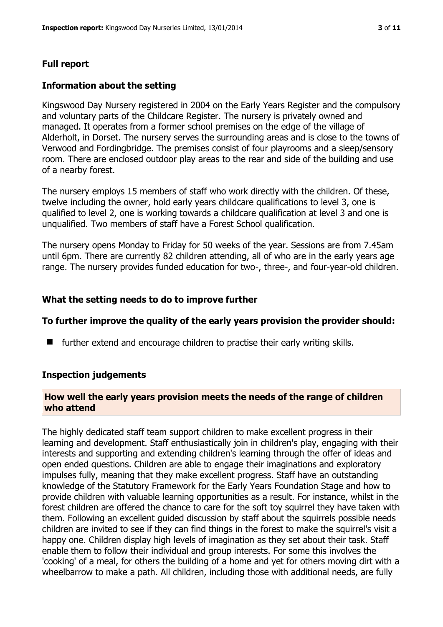#### **Full report**

#### **Information about the setting**

Kingswood Day Nursery registered in 2004 on the Early Years Register and the compulsory and voluntary parts of the Childcare Register. The nursery is privately owned and managed. It operates from a former school premises on the edge of the village of Alderholt, in Dorset. The nursery serves the surrounding areas and is close to the towns of Verwood and Fordingbridge. The premises consist of four playrooms and a sleep/sensory room. There are enclosed outdoor play areas to the rear and side of the building and use of a nearby forest.

The nursery employs 15 members of staff who work directly with the children. Of these, twelve including the owner, hold early years childcare qualifications to level 3, one is qualified to level 2, one is working towards a childcare qualification at level 3 and one is unqualified. Two members of staff have a Forest School qualification.

The nursery opens Monday to Friday for 50 weeks of the year. Sessions are from 7.45am until 6pm. There are currently 82 children attending, all of who are in the early years age range. The nursery provides funded education for two-, three-, and four-year-old children.

#### **What the setting needs to do to improve further**

#### **To further improve the quality of the early years provision the provider should:**

 $\blacksquare$  further extend and encourage children to practise their early writing skills.

#### **Inspection judgements**

#### **How well the early years provision meets the needs of the range of children who attend**

The highly dedicated staff team support children to make excellent progress in their learning and development. Staff enthusiastically join in children's play, engaging with their interests and supporting and extending children's learning through the offer of ideas and open ended questions. Children are able to engage their imaginations and exploratory impulses fully, meaning that they make excellent progress. Staff have an outstanding knowledge of the Statutory Framework for the Early Years Foundation Stage and how to provide children with valuable learning opportunities as a result. For instance, whilst in the forest children are offered the chance to care for the soft toy squirrel they have taken with them. Following an excellent guided discussion by staff about the squirrels possible needs children are invited to see if they can find things in the forest to make the squirrel's visit a happy one. Children display high levels of imagination as they set about their task. Staff enable them to follow their individual and group interests. For some this involves the 'cooking' of a meal, for others the building of a home and yet for others moving dirt with a wheelbarrow to make a path. All children, including those with additional needs, are fully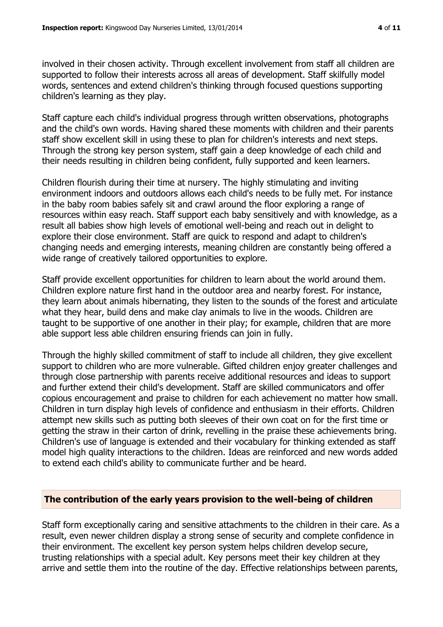involved in their chosen activity. Through excellent involvement from staff all children are supported to follow their interests across all areas of development. Staff skilfully model words, sentences and extend children's thinking through focused questions supporting children's learning as they play.

Staff capture each child's individual progress through written observations, photographs and the child's own words. Having shared these moments with children and their parents staff show excellent skill in using these to plan for children's interests and next steps. Through the strong key person system, staff gain a deep knowledge of each child and their needs resulting in children being confident, fully supported and keen learners.

Children flourish during their time at nursery. The highly stimulating and inviting environment indoors and outdoors allows each child's needs to be fully met. For instance in the baby room babies safely sit and crawl around the floor exploring a range of resources within easy reach. Staff support each baby sensitively and with knowledge, as a result all babies show high levels of emotional well-being and reach out in delight to explore their close environment. Staff are quick to respond and adapt to children's changing needs and emerging interests, meaning children are constantly being offered a wide range of creatively tailored opportunities to explore.

Staff provide excellent opportunities for children to learn about the world around them. Children explore nature first hand in the outdoor area and nearby forest. For instance, they learn about animals hibernating, they listen to the sounds of the forest and articulate what they hear, build dens and make clay animals to live in the woods. Children are taught to be supportive of one another in their play; for example, children that are more able support less able children ensuring friends can join in fully.

Through the highly skilled commitment of staff to include all children, they give excellent support to children who are more vulnerable. Gifted children enjoy greater challenges and through close partnership with parents receive additional resources and ideas to support and further extend their child's development. Staff are skilled communicators and offer copious encouragement and praise to children for each achievement no matter how small. Children in turn display high levels of confidence and enthusiasm in their efforts. Children attempt new skills such as putting both sleeves of their own coat on for the first time or getting the straw in their carton of drink, revelling in the praise these achievements bring. Children's use of language is extended and their vocabulary for thinking extended as staff model high quality interactions to the children. Ideas are reinforced and new words added to extend each child's ability to communicate further and be heard.

#### **The contribution of the early years provision to the well-being of children**

Staff form exceptionally caring and sensitive attachments to the children in their care. As a result, even newer children display a strong sense of security and complete confidence in their environment. The excellent key person system helps children develop secure, trusting relationships with a special adult. Key persons meet their key children at they arrive and settle them into the routine of the day. Effective relationships between parents,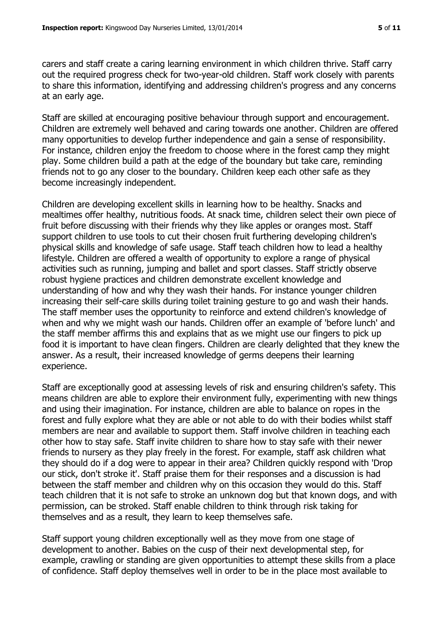carers and staff create a caring learning environment in which children thrive. Staff carry out the required progress check for two-year-old children. Staff work closely with parents to share this information, identifying and addressing children's progress and any concerns at an early age.

Staff are skilled at encouraging positive behaviour through support and encouragement. Children are extremely well behaved and caring towards one another. Children are offered many opportunities to develop further independence and gain a sense of responsibility. For instance, children enjoy the freedom to choose where in the forest camp they might play. Some children build a path at the edge of the boundary but take care, reminding friends not to go any closer to the boundary. Children keep each other safe as they become increasingly independent.

Children are developing excellent skills in learning how to be healthy. Snacks and mealtimes offer healthy, nutritious foods. At snack time, children select their own piece of fruit before discussing with their friends why they like apples or oranges most. Staff support children to use tools to cut their chosen fruit furthering developing children's physical skills and knowledge of safe usage. Staff teach children how to lead a healthy lifestyle. Children are offered a wealth of opportunity to explore a range of physical activities such as running, jumping and ballet and sport classes. Staff strictly observe robust hygiene practices and children demonstrate excellent knowledge and understanding of how and why they wash their hands. For instance younger children increasing their self-care skills during toilet training gesture to go and wash their hands. The staff member uses the opportunity to reinforce and extend children's knowledge of when and why we might wash our hands. Children offer an example of 'before lunch' and the staff member affirms this and explains that as we might use our fingers to pick up food it is important to have clean fingers. Children are clearly delighted that they knew the answer. As a result, their increased knowledge of germs deepens their learning experience.

Staff are exceptionally good at assessing levels of risk and ensuring children's safety. This means children are able to explore their environment fully, experimenting with new things and using their imagination. For instance, children are able to balance on ropes in the forest and fully explore what they are able or not able to do with their bodies whilst staff members are near and available to support them. Staff involve children in teaching each other how to stay safe. Staff invite children to share how to stay safe with their newer friends to nursery as they play freely in the forest. For example, staff ask children what they should do if a dog were to appear in their area? Children quickly respond with 'Drop our stick, don't stroke it'. Staff praise them for their responses and a discussion is had between the staff member and children why on this occasion they would do this. Staff teach children that it is not safe to stroke an unknown dog but that known dogs, and with permission, can be stroked. Staff enable children to think through risk taking for themselves and as a result, they learn to keep themselves safe.

Staff support young children exceptionally well as they move from one stage of development to another. Babies on the cusp of their next developmental step, for example, crawling or standing are given opportunities to attempt these skills from a place of confidence. Staff deploy themselves well in order to be in the place most available to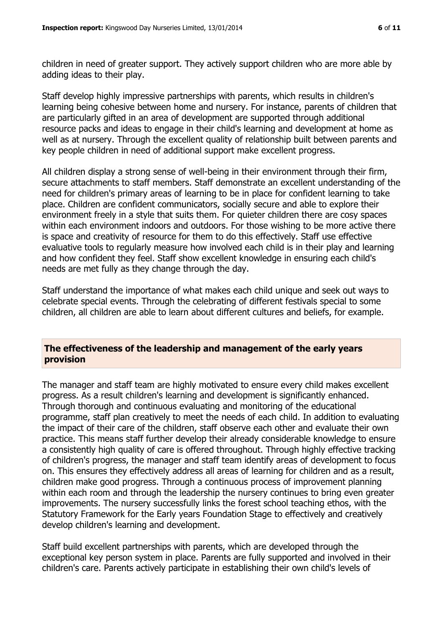children in need of greater support. They actively support children who are more able by adding ideas to their play.

Staff develop highly impressive partnerships with parents, which results in children's learning being cohesive between home and nursery. For instance, parents of children that are particularly gifted in an area of development are supported through additional resource packs and ideas to engage in their child's learning and development at home as well as at nursery. Through the excellent quality of relationship built between parents and key people children in need of additional support make excellent progress.

All children display a strong sense of well-being in their environment through their firm, secure attachments to staff members. Staff demonstrate an excellent understanding of the need for children's primary areas of learning to be in place for confident learning to take place. Children are confident communicators, socially secure and able to explore their environment freely in a style that suits them. For quieter children there are cosy spaces within each environment indoors and outdoors. For those wishing to be more active there is space and creativity of resource for them to do this effectively. Staff use effective evaluative tools to regularly measure how involved each child is in their play and learning and how confident they feel. Staff show excellent knowledge in ensuring each child's needs are met fully as they change through the day.

Staff understand the importance of what makes each child unique and seek out ways to celebrate special events. Through the celebrating of different festivals special to some children, all children are able to learn about different cultures and beliefs, for example.

# **The effectiveness of the leadership and management of the early years provision**

The manager and staff team are highly motivated to ensure every child makes excellent progress. As a result children's learning and development is significantly enhanced. Through thorough and continuous evaluating and monitoring of the educational programme, staff plan creatively to meet the needs of each child. In addition to evaluating the impact of their care of the children, staff observe each other and evaluate their own practice. This means staff further develop their already considerable knowledge to ensure a consistently high quality of care is offered throughout. Through highly effective tracking of children's progress, the manager and staff team identify areas of development to focus on. This ensures they effectively address all areas of learning for children and as a result, children make good progress. Through a continuous process of improvement planning within each room and through the leadership the nursery continues to bring even greater improvements. The nursery successfully links the forest school teaching ethos, with the Statutory Framework for the Early years Foundation Stage to effectively and creatively develop children's learning and development.

Staff build excellent partnerships with parents, which are developed through the exceptional key person system in place. Parents are fully supported and involved in their children's care. Parents actively participate in establishing their own child's levels of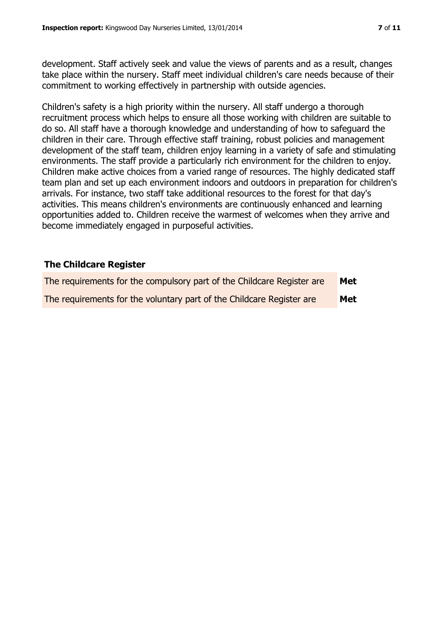development. Staff actively seek and value the views of parents and as a result, changes take place within the nursery. Staff meet individual children's care needs because of their commitment to working effectively in partnership with outside agencies.

Children's safety is a high priority within the nursery. All staff undergo a thorough recruitment process which helps to ensure all those working with children are suitable to do so. All staff have a thorough knowledge and understanding of how to safeguard the children in their care. Through effective staff training, robust policies and management development of the staff team, children enjoy learning in a variety of safe and stimulating environments. The staff provide a particularly rich environment for the children to enjoy. Children make active choices from a varied range of resources. The highly dedicated staff team plan and set up each environment indoors and outdoors in preparation for children's arrivals. For instance, two staff take additional resources to the forest for that day's activities. This means children's environments are continuously enhanced and learning opportunities added to. Children receive the warmest of welcomes when they arrive and become immediately engaged in purposeful activities.

# **The Childcare Register**

| The requirements for the compulsory part of the Childcare Register are | Met |
|------------------------------------------------------------------------|-----|
| The requirements for the voluntary part of the Childcare Register are  | Met |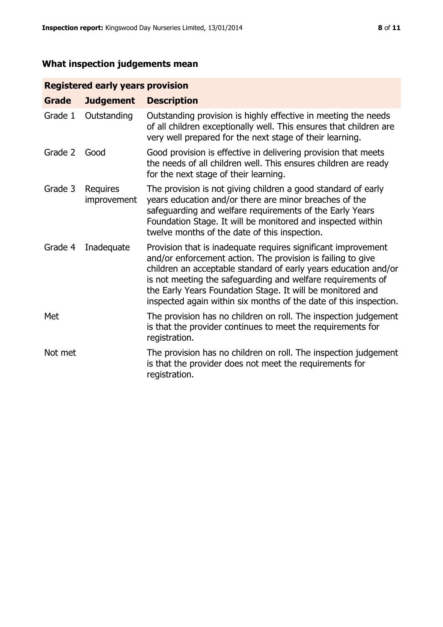# **What inspection judgements mean**

# **Registered early years provision**

| <b>Grade</b> | <b>Judgement</b>        | <b>Description</b>                                                                                                                                                                                                                                                                                                                                                                                |
|--------------|-------------------------|---------------------------------------------------------------------------------------------------------------------------------------------------------------------------------------------------------------------------------------------------------------------------------------------------------------------------------------------------------------------------------------------------|
| Grade 1      | Outstanding             | Outstanding provision is highly effective in meeting the needs<br>of all children exceptionally well. This ensures that children are<br>very well prepared for the next stage of their learning.                                                                                                                                                                                                  |
| Grade 2      | Good                    | Good provision is effective in delivering provision that meets<br>the needs of all children well. This ensures children are ready<br>for the next stage of their learning.                                                                                                                                                                                                                        |
| Grade 3      | Requires<br>improvement | The provision is not giving children a good standard of early<br>years education and/or there are minor breaches of the<br>safeguarding and welfare requirements of the Early Years<br>Foundation Stage. It will be monitored and inspected within<br>twelve months of the date of this inspection.                                                                                               |
| Grade 4      | Inadequate              | Provision that is inadequate requires significant improvement<br>and/or enforcement action. The provision is failing to give<br>children an acceptable standard of early years education and/or<br>is not meeting the safeguarding and welfare requirements of<br>the Early Years Foundation Stage. It will be monitored and<br>inspected again within six months of the date of this inspection. |
| Met          |                         | The provision has no children on roll. The inspection judgement<br>is that the provider continues to meet the requirements for<br>registration.                                                                                                                                                                                                                                                   |
| Not met      |                         | The provision has no children on roll. The inspection judgement<br>is that the provider does not meet the requirements for<br>registration.                                                                                                                                                                                                                                                       |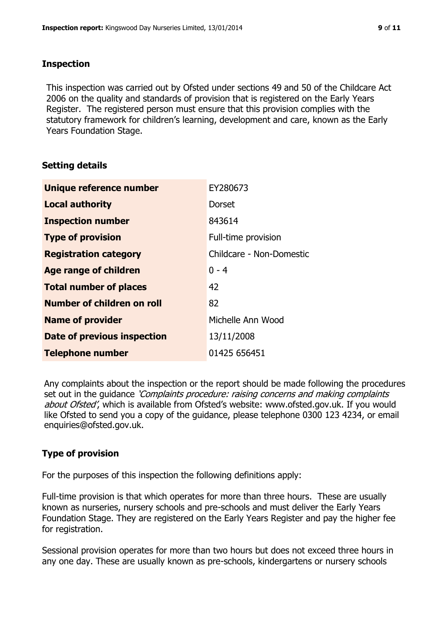# **Inspection**

This inspection was carried out by Ofsted under sections 49 and 50 of the Childcare Act 2006 on the quality and standards of provision that is registered on the Early Years Register. The registered person must ensure that this provision complies with the statutory framework for children's learning, development and care, known as the Early Years Foundation Stage.

# **Setting details**

| Unique reference number       | EY280673                 |
|-------------------------------|--------------------------|
| <b>Local authority</b>        | Dorset                   |
| <b>Inspection number</b>      | 843614                   |
| <b>Type of provision</b>      | Full-time provision      |
| <b>Registration category</b>  | Childcare - Non-Domestic |
| <b>Age range of children</b>  | $0 - 4$                  |
| <b>Total number of places</b> | 42                       |
| Number of children on roll    | 82                       |
| <b>Name of provider</b>       | Michelle Ann Wood        |
| Date of previous inspection   | 13/11/2008               |
| <b>Telephone number</b>       | 01425 656451             |

Any complaints about the inspection or the report should be made following the procedures set out in the guidance *'Complaints procedure: raising concerns and making complaints* about Ofsted', which is available from Ofsted's website: www.ofsted.gov.uk. If you would like Ofsted to send you a copy of the guidance, please telephone 0300 123 4234, or email enquiries@ofsted.gov.uk.

# **Type of provision**

For the purposes of this inspection the following definitions apply:

Full-time provision is that which operates for more than three hours. These are usually known as nurseries, nursery schools and pre-schools and must deliver the Early Years Foundation Stage. They are registered on the Early Years Register and pay the higher fee for registration.

Sessional provision operates for more than two hours but does not exceed three hours in any one day. These are usually known as pre-schools, kindergartens or nursery schools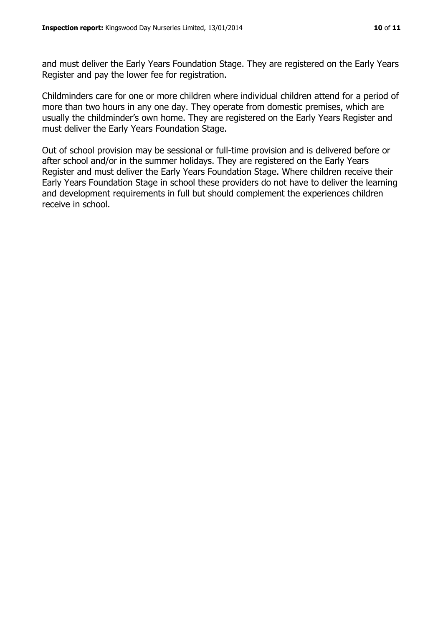and must deliver the Early Years Foundation Stage. They are registered on the Early Years Register and pay the lower fee for registration.

Childminders care for one or more children where individual children attend for a period of more than two hours in any one day. They operate from domestic premises, which are usually the childminder's own home. They are registered on the Early Years Register and must deliver the Early Years Foundation Stage.

Out of school provision may be sessional or full-time provision and is delivered before or after school and/or in the summer holidays. They are registered on the Early Years Register and must deliver the Early Years Foundation Stage. Where children receive their Early Years Foundation Stage in school these providers do not have to deliver the learning and development requirements in full but should complement the experiences children receive in school.